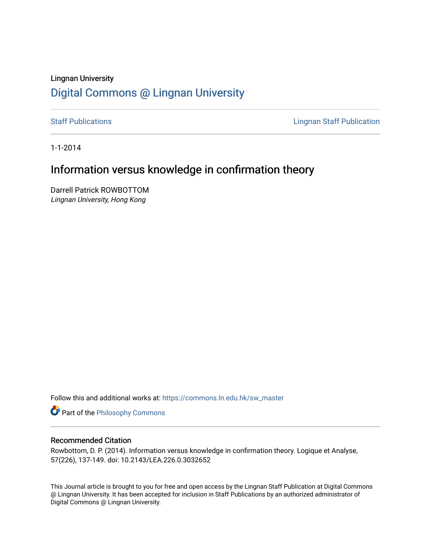# Lingnan University [Digital Commons @ Lingnan University](https://commons.ln.edu.hk/)

[Staff Publications](https://commons.ln.edu.hk/sw_master) **Staff Publications Lingnan Staff Publication** 

1-1-2014

# Information versus knowledge in confirmation theory

Darrell Patrick ROWBOTTOM Lingnan University, Hong Kong

Follow this and additional works at: [https://commons.ln.edu.hk/sw\\_master](https://commons.ln.edu.hk/sw_master?utm_source=commons.ln.edu.hk%2Fsw_master%2F2582&utm_medium=PDF&utm_campaign=PDFCoverPages) 

**Part of the Philosophy Commons** 

#### Recommended Citation

Rowbottom, D. P. (2014). Information versus knowledge in confirmation theory. Logique et Analyse, 57(226), 137-149. doi: 10.2143/LEA.226.0.3032652

This Journal article is brought to you for free and open access by the Lingnan Staff Publication at Digital Commons @ Lingnan University. It has been accepted for inclusion in Staff Publications by an authorized administrator of Digital Commons @ Lingnan University.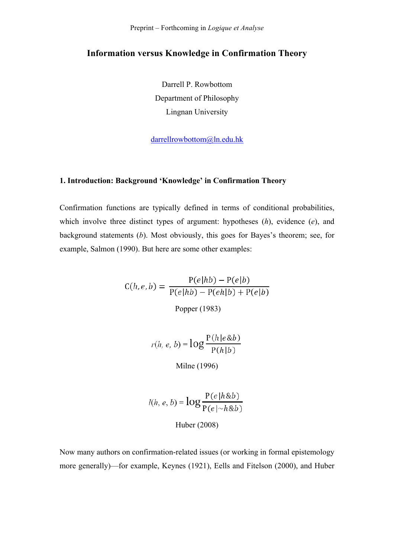Preprint – Forthcoming in *Logique et Analyse*

## **Information versus Knowledge in Confirmation Theory**

Darrell P. Rowbottom Department of Philosophy Lingnan University

darrellrowbottom@ln.edu.hk

### **1. Introduction: Background 'Knowledge' in Confirmation Theory**

Confirmation functions are typically defined in terms of conditional probabilities, which involve three distinct types of argument: hypotheses (*h*), evidence (*e*), and background statements (*b*). Most obviously, this goes for Bayes's theorem; see, for example, Salmon (1990). But here are some other examples:

> $C(h, e, b) = \frac{P(e|h b) - P(e|b)}{P(e|h b) - P(eh|b) + P(e|b)}$ Popper (1983)

> > $r(h, e, b) = log \frac{P(h|e \& b)}{P(h|b)}$

Milne (1996)

$$
l(h, e, b) = \log \frac{P(e|h \& b)}{P(e|\sim h \& b)}
$$
  
Huber (2008)

Now many authors on confirmation-related issues (or working in formal epistemology more generally)—for example, Keynes (1921), Eells and Fitelson (2000), and Huber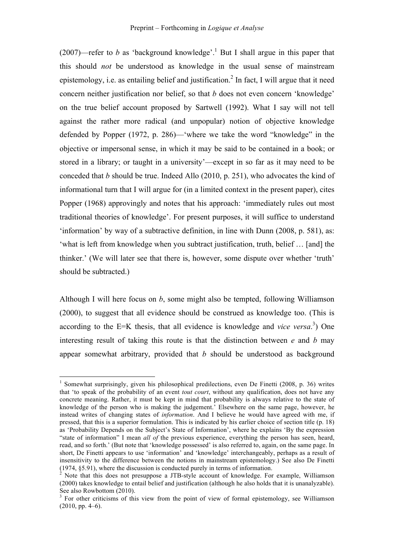(2007)—refer to *b* as 'background knowledge'.<sup>1</sup> But I shall argue in this paper that this should *not* be understood as knowledge in the usual sense of mainstream epistemology, i.e. as entailing belief and justification.<sup>2</sup> In fact, I will argue that it need concern neither justification nor belief, so that *b* does not even concern 'knowledge' on the true belief account proposed by Sartwell (1992). What I say will not tell against the rather more radical (and unpopular) notion of objective knowledge defended by Popper (1972, p. 286)—'where we take the word "knowledge" in the objective or impersonal sense, in which it may be said to be contained in a book; or stored in a library; or taught in a university'—except in so far as it may need to be conceded that *b* should be true. Indeed Allo (2010, p. 251), who advocates the kind of informational turn that I will argue for (in a limited context in the present paper), cites Popper (1968) approvingly and notes that his approach: 'immediately rules out most traditional theories of knowledge'. For present purposes, it will suffice to understand 'information' by way of a subtractive definition, in line with Dunn (2008, p. 581), as: 'what is left from knowledge when you subtract justification, truth, belief … [and] the thinker.' (We will later see that there is, however, some dispute over whether 'truth' should be subtracted.)

Although I will here focus on *b*, some might also be tempted, following Williamson (2000), to suggest that all evidence should be construed as knowledge too. (This is according to the E=K thesis, that all evidence is knowledge and *vice versa*. 3 ) One interesting result of taking this route is that the distinction between *e* and *b* may appear somewhat arbitrary, provided that *b* should be understood as background

<sup>&</sup>lt;sup>1</sup> Somewhat surprisingly, given his philosophical predilections, even De Finetti (2008, p. 36) writes that 'to speak of the probability of an event *tout court*, without any qualification, does not have any concrete meaning. Rather, it must be kept in mind that probability is always relative to the state of knowledge of the person who is making the judgement.' Elsewhere on the same page, however, he instead writes of changing states of *information*. And I believe he would have agreed with me, if pressed, that this is a superior formulation. This is indicated by his earlier choice of section title (p. 18) as 'Probability Depends on the Subject's State of Information', where he explains 'By the expression "state of information" I mean *all of* the previous experience, everything the person has seen, heard, read, and so forth.' (But note that 'knowledge possessed' is also referred to, again, on the same page. In short, De Finetti appears to use 'information' and 'knowledge' interchangeably, perhaps as a result of insensitivity to the difference between the notions in mainstream epistemology.) See also De Finetti (1974, §5.91), where the discussion is conducted purely in terms of information.

<sup>2</sup> Note that this does not presuppose a JTB-style account of knowledge. For example, Williamson (2000) takes knowledge to entail belief and justification (although he also holds that it is unanalyzable). See also Rowbottom (2010).

<sup>&</sup>lt;sup>3</sup> For other criticisms of this view from the point of view of formal epistemology, see Williamson  $(2010, \text{pp}, 4-6)$ .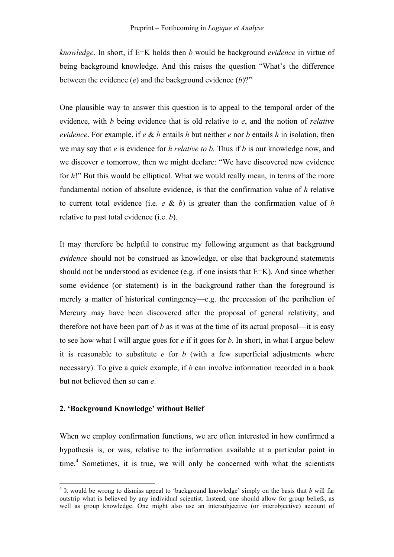*knowledge*. In short, if E=K holds then *b* would be background *evidence* in virtue of being background knowledge. And this raises the question "What's the difference between the evidence (*e*) and the background evidence (*b*)?"

One plausible way to answer this question is to appeal to the temporal order of the evidence, with *b* being evidence that is old relative to *e*, and the notion of *relative evidence*. For example, if *e* & *b* entails *h* but neither *e* nor *b* entails *h* in isolation, then we may say that *e* is evidence for *h relative to b.* Thus if *b* is our knowledge now, and we discover *e* tomorrow, then we might declare: "We have discovered new evidence for *h*!" But this would be elliptical. What we would really mean, in terms of the more fundamental notion of absolute evidence, is that the confirmation value of *h* relative to current total evidence (i.e.  $e \& b$ ) is greater than the confirmation value of *h* relative to past total evidence (i.e. *b*).

It may therefore be helpful to construe my following argument as that background *evidence* should not be construed as knowledge, or else that background statements should not be understood as evidence (e.g. if one insists that E=K). And since whether some evidence (or statement) is in the background rather than the foreground is merely a matter of historical contingency—e.g. the precession of the perihelion of Mercury may have been discovered after the proposal of general relativity, and therefore not have been part of *b* as it was at the time of its actual proposal—it is easy to see how what I will argue goes for *e* if it goes for *b*. In short, in what I argue below it is reasonable to substitute *e* for *b* (with a few superficial adjustments where necessary). To give a quick example, if *b* can involve information recorded in a book but not believed then so can *e*.

### **2. 'Background Knowledge' without Belief**

When we employ confirmation functions, we are often interested in how confirmed a hypothesis is, or was, relative to the information available at a particular point in time.<sup>4</sup> Sometimes, it is true, we will only be concerned with what the scientists

 <sup>4</sup> It would be wrong to dismiss appeal to 'background knowledge' simply on the basis that *b* will far outstrip what is believed by any individual scientist. Instead, one should allow for group beliefs, as well as group knowledge. One might also use an intersubjective (or interobjective) account of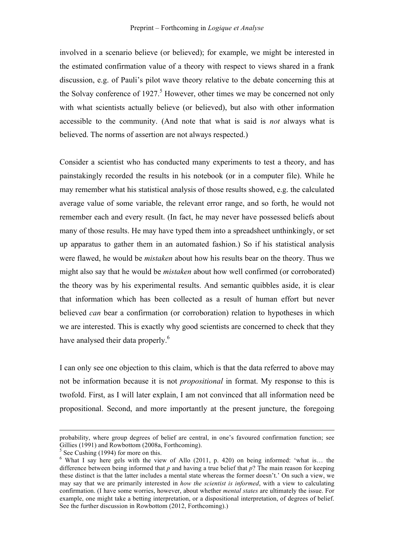involved in a scenario believe (or believed); for example, we might be interested in the estimated confirmation value of a theory with respect to views shared in a frank discussion, e.g. of Pauli's pilot wave theory relative to the debate concerning this at the Solvay conference of  $1927<sup>5</sup>$  However, other times we may be concerned not only with what scientists actually believe (or believed), but also with other information accessible to the community. (And note that what is said is *not* always what is believed. The norms of assertion are not always respected.)

Consider a scientist who has conducted many experiments to test a theory, and has painstakingly recorded the results in his notebook (or in a computer file). While he may remember what his statistical analysis of those results showed, e.g. the calculated average value of some variable, the relevant error range, and so forth, he would not remember each and every result. (In fact, he may never have possessed beliefs about many of those results. He may have typed them into a spreadsheet unthinkingly, or set up apparatus to gather them in an automated fashion.) So if his statistical analysis were flawed, he would be *mistaken* about how his results bear on the theory. Thus we might also say that he would be *mistaken* about how well confirmed (or corroborated) the theory was by his experimental results. And semantic quibbles aside, it is clear that information which has been collected as a result of human effort but never believed *can* bear a confirmation (or corroboration) relation to hypotheses in which we are interested. This is exactly why good scientists are concerned to check that they have analysed their data properly.<sup>6</sup>

I can only see one objection to this claim, which is that the data referred to above may not be information because it is not *propositional* in format. My response to this is twofold. First, as I will later explain, I am not convinced that all information need be propositional. Second, and more importantly at the present juncture, the foregoing

<sup>&</sup>lt;u> 1989 - Andrea San Andrew Maria (h. 1989).</u><br>1900 - Andrew Maria (h. 1980). probability, where group degrees of belief are central, in one's favoured confirmation function; see Gillies (1991) and Rowbottom (2008a, Forthcoming).

 $<sup>5</sup>$  See Cushing (1994) for more on this.</sup>

<sup>6</sup> What I say here gels with the view of Allo (2011, p. 420) on being informed: 'what is… the difference between being informed that  $p$  and having a true belief that  $p$ ? The main reason for keeping these distinct is that the latter includes a mental state whereas the former doesn't.' On such a view, we may say that we are primarily interested in *how the scientist is informed*, with a view to calculating confirmation. (I have some worries, however, about whether *mental states* are ultimately the issue. For example, one might take a betting interpretation, or a dispositional interpretation, of degrees of belief. See the further discussion in Rowbottom (2012, Forthcoming).)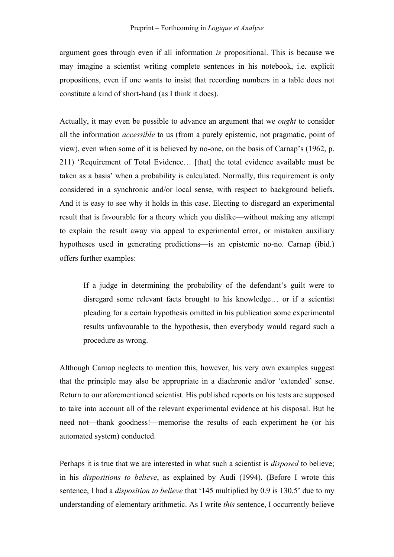argument goes through even if all information *is* propositional. This is because we may imagine a scientist writing complete sentences in his notebook, i.e. explicit propositions, even if one wants to insist that recording numbers in a table does not constitute a kind of short-hand (as I think it does).

Actually, it may even be possible to advance an argument that we *ought* to consider all the information *accessible* to us (from a purely epistemic, not pragmatic, point of view), even when some of it is believed by no-one, on the basis of Carnap's (1962, p. 211) 'Requirement of Total Evidence… [that] the total evidence available must be taken as a basis' when a probability is calculated. Normally, this requirement is only considered in a synchronic and/or local sense, with respect to background beliefs. And it is easy to see why it holds in this case. Electing to disregard an experimental result that is favourable for a theory which you dislike—without making any attempt to explain the result away via appeal to experimental error, or mistaken auxiliary hypotheses used in generating predictions—is an epistemic no-no. Carnap (ibid.) offers further examples:

If a judge in determining the probability of the defendant's guilt were to disregard some relevant facts brought to his knowledge… or if a scientist pleading for a certain hypothesis omitted in his publication some experimental results unfavourable to the hypothesis, then everybody would regard such a procedure as wrong.

Although Carnap neglects to mention this, however, his very own examples suggest that the principle may also be appropriate in a diachronic and/or 'extended' sense. Return to our aforementioned scientist. His published reports on his tests are supposed to take into account all of the relevant experimental evidence at his disposal. But he need not—thank goodness!—memorise the results of each experiment he (or his automated system) conducted.

Perhaps it is true that we are interested in what such a scientist is *disposed* to believe; in his *dispositions to believe*, as explained by Audi (1994). (Before I wrote this sentence, I had a *disposition to believe* that '145 multiplied by 0.9 is 130.5' due to my understanding of elementary arithmetic. As I write *this* sentence, I occurrently believe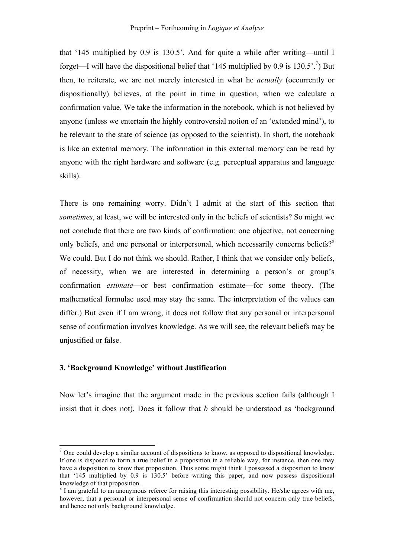that '145 multiplied by 0.9 is 130.5'. And for quite a while after writing—until I forget—I will have the dispositional belief that '145 multiplied by 0.9 is  $130.5'$ .<sup>7</sup>) But then, to reiterate, we are not merely interested in what he *actually* (occurrently or dispositionally) believes, at the point in time in question, when we calculate a confirmation value. We take the information in the notebook, which is not believed by anyone (unless we entertain the highly controversial notion of an 'extended mind'), to be relevant to the state of science (as opposed to the scientist). In short, the notebook is like an external memory. The information in this external memory can be read by anyone with the right hardware and software (e.g. perceptual apparatus and language skills).

There is one remaining worry. Didn't I admit at the start of this section that *sometimes*, at least, we will be interested only in the beliefs of scientists? So might we not conclude that there are two kinds of confirmation: one objective, not concerning only beliefs, and one personal or interpersonal, which necessarily concerns beliefs?<sup>8</sup> We could. But I do not think we should. Rather, I think that we consider only beliefs, of necessity, when we are interested in determining a person's or group's confirmation *estimate*—or best confirmation estimate—for some theory. (The mathematical formulae used may stay the same. The interpretation of the values can differ.) But even if I am wrong, it does not follow that any personal or interpersonal sense of confirmation involves knowledge. As we will see, the relevant beliefs may be unjustified or false.

#### **3. 'Background Knowledge' without Justification**

Now let's imagine that the argument made in the previous section fails (although I insist that it does not). Does it follow that *b* should be understood as 'background

<sup>&</sup>lt;sup>7</sup> One could develop a similar account of dispositions to know, as opposed to dispositional knowledge. If one is disposed to form a true belief in a proposition in a reliable way, for instance, then one may have a disposition to know that proposition. Thus some might think I possessed a disposition to know that '145 multiplied by 0.9 is 130.5' before writing this paper, and now possess dispositional knowledge of that proposition.

<sup>&</sup>lt;sup>8</sup> I am grateful to an anonymous referee for raising this interesting possibility. He/she agrees with me, however, that a personal or interpersonal sense of confirmation should not concern only true beliefs, and hence not only background knowledge.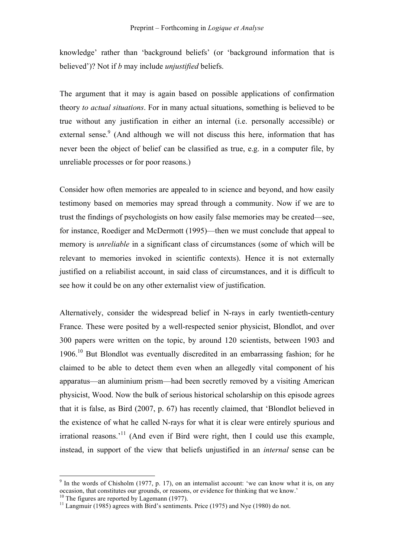knowledge' rather than 'background beliefs' (or 'background information that is believed')? Not if *b* may include *unjustified* beliefs.

The argument that it may is again based on possible applications of confirmation theory *to actual situations*. For in many actual situations, something is believed to be true without any justification in either an internal (i.e. personally accessible) or external sense. $9/2$  (And although we will not discuss this here, information that has never been the object of belief can be classified as true, e.g. in a computer file, by unreliable processes or for poor reasons.)

Consider how often memories are appealed to in science and beyond, and how easily testimony based on memories may spread through a community. Now if we are to trust the findings of psychologists on how easily false memories may be created—see, for instance, Roediger and McDermott (1995)—then we must conclude that appeal to memory is *unreliable* in a significant class of circumstances (some of which will be relevant to memories invoked in scientific contexts). Hence it is not externally justified on a reliabilist account, in said class of circumstances, and it is difficult to see how it could be on any other externalist view of justification.

Alternatively, consider the widespread belief in N-rays in early twentieth-century France. These were posited by a well-respected senior physicist, Blondlot, and over 300 papers were written on the topic, by around 120 scientists, between 1903 and 1906.<sup>10</sup> But Blondlot was eventually discredited in an embarrassing fashion; for he claimed to be able to detect them even when an allegedly vital component of his apparatus—an aluminium prism—had been secretly removed by a visiting American physicist, Wood. Now the bulk of serious historical scholarship on this episode agrees that it is false, as Bird (2007, p. 67) has recently claimed, that 'Blondlot believed in the existence of what he called N-rays for what it is clear were entirely spurious and  $irrational reasons.<sup>11</sup>$  (And even if Bird were right, then I could use this example, instead, in support of the view that beliefs unjustified in an *internal* sense can be

 $9$  In the words of Chisholm (1977, p. 17), on an internalist account: 'we can know what it is, on any occasion, that constitutes our grounds, or reasons, or evidence for thinking that we know.'<br><sup>10</sup> The figures are reported by Lagemann (1977).

 $^{11}$  Langmuir (1985) agrees with Bird's sentiments. Price (1975) and Nye (1980) do not.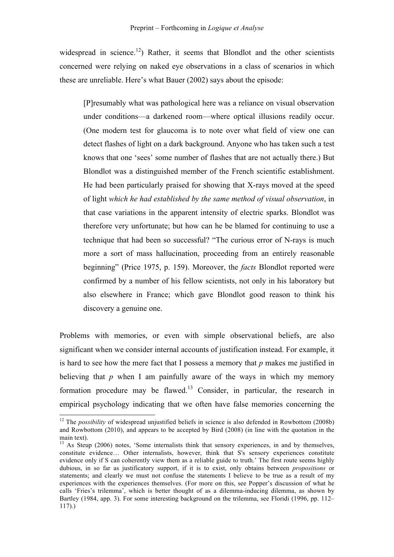widespread in science.<sup>12</sup>) Rather, it seems that Blondlot and the other scientists concerned were relying on naked eye observations in a class of scenarios in which these are unreliable. Here's what Bauer (2002) says about the episode:

[P]resumably what was pathological here was a reliance on visual observation under conditions—a darkened room—where optical illusions readily occur. (One modern test for glaucoma is to note over what field of view one can detect flashes of light on a dark background. Anyone who has taken such a test knows that one 'sees' some number of flashes that are not actually there.) But Blondlot was a distinguished member of the French scientific establishment. He had been particularly praised for showing that X-rays moved at the speed of light *which he had established by the same method of visual observation*, in that case variations in the apparent intensity of electric sparks. Blondlot was therefore very unfortunate; but how can he be blamed for continuing to use a technique that had been so successful? "The curious error of N-rays is much more a sort of mass hallucination, proceeding from an entirely reasonable beginning" (Price 1975, p. 159). Moreover, the *facts* Blondlot reported were confirmed by a number of his fellow scientists, not only in his laboratory but also elsewhere in France; which gave Blondlot good reason to think his discovery a genuine one.

Problems with memories, or even with simple observational beliefs, are also significant when we consider internal accounts of justification instead. For example, it is hard to see how the mere fact that I possess a memory that *p* makes me justified in believing that *p* when I am painfully aware of the ways in which my memory formation procedure may be flawed.<sup>13</sup> Consider, in particular, the research in empirical psychology indicating that we often have false memories concerning the

<sup>&</sup>lt;sup>12</sup> The *possibility* of widespread unjustified beliefs in science is also defended in Rowbottom (2008b) and Rowbottom (2010), and appears to be accepted by Bird (2008) (in line with the quotation in the main text).

<sup>&</sup>lt;sup>13</sup> As Steup (2006) notes, 'Some internalists think that sensory experiences, in and by themselves, constitute evidence... Other internalists, however, think that S's sensory experiences constitute evidence only if S can coherently view them as a reliable guide to truth.' The first route seems highly dubious, in so far as justificatory support, if it is to exist, only obtains between *propositions* or statements; and clearly we must not confuse the statements I believe to be true as a result of my experiences with the experiences themselves. (For more on this, see Popper's discussion of what he calls 'Fries's trilemma', which is better thought of as a dilemma-inducing dilemma, as shown by Bartley (1984, app. 3). For some interesting background on the trilemma, see Floridi (1996, pp. 112–  $117)$ .)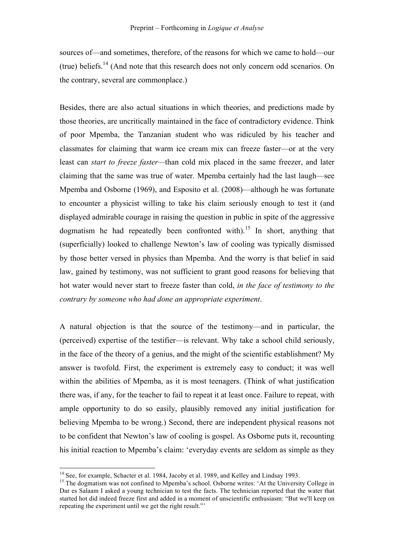sources of—and sometimes, therefore, of the reasons for which we came to hold—our (true) beliefs.<sup>14</sup> (And note that this research does not only concern odd scenarios. On the contrary, several are commonplace.)

Besides, there are also actual situations in which theories, and predictions made by those theories, are uncritically maintained in the face of contradictory evidence. Think of poor Mpemba, the Tanzanian student who was ridiculed by his teacher and classmates for claiming that warm ice cream mix can freeze faster—or at the very least can *start to freeze faster—*than cold mix placed in the same freezer, and later claiming that the same was true of water. Mpemba certainly had the last laugh—see Mpemba and Osborne (1969), and Esposito et al. (2008)—although he was fortunate to encounter a physicist willing to take his claim seriously enough to test it (and displayed admirable courage in raising the question in public in spite of the aggressive dogmatism he had repeatedly been confronted with).<sup>15</sup> In short, anything that (superficially) looked to challenge Newton's law of cooling was typically dismissed by those better versed in physics than Mpemba. And the worry is that belief in said law, gained by testimony, was not sufficient to grant good reasons for believing that hot water would never start to freeze faster than cold, *in the face of testimony to the contrary by someone who had done an appropriate experiment*.

A natural objection is that the source of the testimony—and in particular, the (perceived) expertise of the testifier—is relevant. Why take a school child seriously, in the face of the theory of a genius, and the might of the scientific establishment? My answer is twofold. First, the experiment is extremely easy to conduct; it was well within the abilities of Mpemba, as it is most teenagers. (Think of what justification there was, if any, for the teacher to fail to repeat it at least once. Failure to repeat, with ample opportunity to do so easily, plausibly removed any initial justification for believing Mpemba to be wrong.) Second, there are independent physical reasons not to be confident that Newton's law of cooling is gospel. As Osborne puts it, recounting his initial reaction to Mpemba's claim: 'everyday events are seldom as simple as they

<sup>&</sup>lt;sup>14</sup> See, for example, Schacter et al. 1984, Jacoby et al. 1989, and Kelley and Lindsay 1993.<br><sup>15</sup> The dogmatism was not confined to Mpemba's school. Osborne writes: 'At the University College in Dar es Salaam I asked a young technician to test the facts. The technician reported that the water that started hot did indeed freeze first and added in a moment of unscientific enthusiasm: "But we'll keep on repeating the experiment until we get the right result."'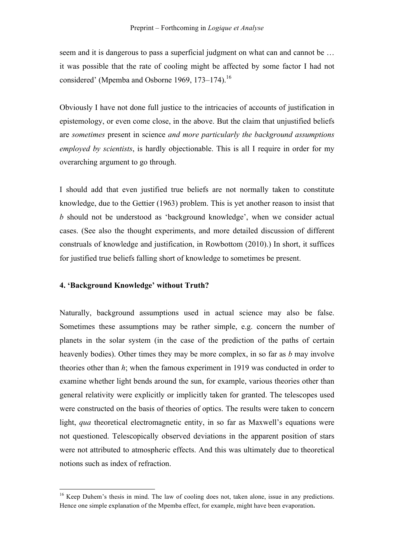seem and it is dangerous to pass a superficial judgment on what can and cannot be … it was possible that the rate of cooling might be affected by some factor I had not considered' (Mpemba and Osborne 1969, 173–174).<sup>16</sup>

Obviously I have not done full justice to the intricacies of accounts of justification in epistemology, or even come close, in the above. But the claim that unjustified beliefs are *sometimes* present in science *and more particularly the background assumptions employed by scientists*, is hardly objectionable. This is all I require in order for my overarching argument to go through.

I should add that even justified true beliefs are not normally taken to constitute knowledge, due to the Gettier (1963) problem. This is yet another reason to insist that *b* should not be understood as 'background knowledge', when we consider actual cases. (See also the thought experiments, and more detailed discussion of different construals of knowledge and justification, in Rowbottom (2010).) In short, it suffices for justified true beliefs falling short of knowledge to sometimes be present.

### **4. 'Background Knowledge' without Truth?**

Naturally, background assumptions used in actual science may also be false. Sometimes these assumptions may be rather simple, e.g. concern the number of planets in the solar system (in the case of the prediction of the paths of certain heavenly bodies). Other times they may be more complex, in so far as *b* may involve theories other than *h*; when the famous experiment in 1919 was conducted in order to examine whether light bends around the sun, for example, various theories other than general relativity were explicitly or implicitly taken for granted. The telescopes used were constructed on the basis of theories of optics. The results were taken to concern light, *qua* theoretical electromagnetic entity, in so far as Maxwell's equations were not questioned. Telescopically observed deviations in the apparent position of stars were not attributed to atmospheric effects. And this was ultimately due to theoretical notions such as index of refraction.

<sup>&</sup>lt;sup>16</sup> Keep Duhem's thesis in mind. The law of cooling does not, taken alone, issue in any predictions. Hence one simple explanation of the Mpemba effect, for example, might have been evaporation.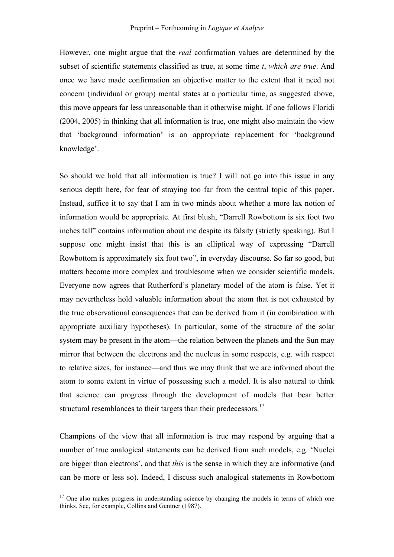However, one might argue that the *real* confirmation values are determined by the subset of scientific statements classified as true, at some time *t*, *which are true*. And once we have made confirmation an objective matter to the extent that it need not concern (individual or group) mental states at a particular time, as suggested above, this move appears far less unreasonable than it otherwise might. If one follows Floridi (2004, 2005) in thinking that all information is true, one might also maintain the view that 'background information' is an appropriate replacement for 'background knowledge'.

So should we hold that all information is true? I will not go into this issue in any serious depth here, for fear of straying too far from the central topic of this paper. Instead, suffice it to say that I am in two minds about whether a more lax notion of information would be appropriate. At first blush, "Darrell Rowbottom is six foot two inches tall" contains information about me despite its falsity (strictly speaking). But I suppose one might insist that this is an elliptical way of expressing "Darrell Rowbottom is approximately six foot two", in everyday discourse. So far so good, but matters become more complex and troublesome when we consider scientific models. Everyone now agrees that Rutherford's planetary model of the atom is false. Yet it may nevertheless hold valuable information about the atom that is not exhausted by the true observational consequences that can be derived from it (in combination with appropriate auxiliary hypotheses). In particular, some of the structure of the solar system may be present in the atom—the relation between the planets and the Sun may mirror that between the electrons and the nucleus in some respects, e.g. with respect to relative sizes, for instance—and thus we may think that we are informed about the atom to some extent in virtue of possessing such a model. It is also natural to think that science can progress through the development of models that bear better structural resemblances to their targets than their predecessors.<sup>17</sup>

Champions of the view that all information is true may respond by arguing that a number of true analogical statements can be derived from such models, e.g. 'Nuclei are bigger than electrons', and that *this* is the sense in which they are informative (and can be more or less so). Indeed, I discuss such analogical statements in Rowbottom

<sup>&</sup>lt;sup>17</sup> One also makes progress in understanding science by changing the models in terms of which one thinks. See, for example, Collins and Gentner (1987).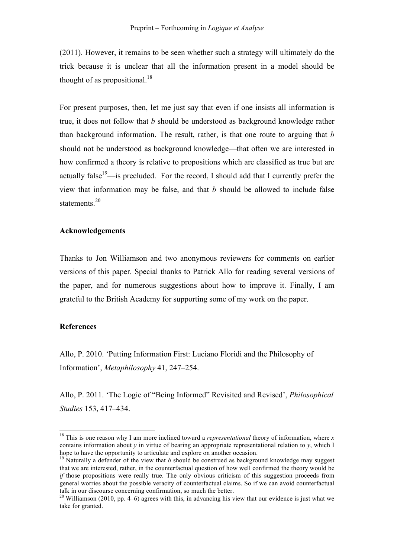(2011). However, it remains to be seen whether such a strategy will ultimately do the trick because it is unclear that all the information present in a model should be thought of as propositional.<sup>18</sup>

For present purposes, then, let me just say that even if one insists all information is true, it does not follow that *b* should be understood as background knowledge rather than background information. The result, rather, is that one route to arguing that *b*  should not be understood as background knowledge—that often we are interested in how confirmed a theory is relative to propositions which are classified as true but are actually false<sup>19</sup>—is precluded. For the record, I should add that I currently prefer the view that information may be false, and that *b* should be allowed to include false statements.<sup>20</sup>

#### **Acknowledgements**

Thanks to Jon Williamson and two anonymous reviewers for comments on earlier versions of this paper. Special thanks to Patrick Allo for reading several versions of the paper, and for numerous suggestions about how to improve it. Finally, I am grateful to the British Academy for supporting some of my work on the paper.

#### **References**

Allo, P. 2010. 'Putting Information First: Luciano Floridi and the Philosophy of Information', *Metaphilosophy* 41, 247–254.

Allo, P. 2011. 'The Logic of "Being Informed" Revisited and Revised', *Philosophical Studies* 153, 417–434.

 <sup>18</sup> This is one reason why I am more inclined toward a *representational* theory of information, where *<sup>x</sup>* contains information about *y* in virtue of bearing an appropriate representational relation to *y*, which I hope to have the opportunity to articulate and explore on another occasion.

<sup>&</sup>lt;sup>19</sup> Naturally a defender of the view that *b* should be construed as background knowledge may suggest that we are interested, rather, in the counterfactual question of how well confirmed the theory would be *if* those propositions were really true. The only obvious criticism of this suggestion proceeds from general worries about the possible veracity of counterfactual claims. So if we can avoid counterfactual talk in our discourse concerning confirmation, so much the better.<br><sup>20</sup> Williamson (2010, pp. 4–6) agrees with this, in advancing his view that our evidence is just what we

take for granted.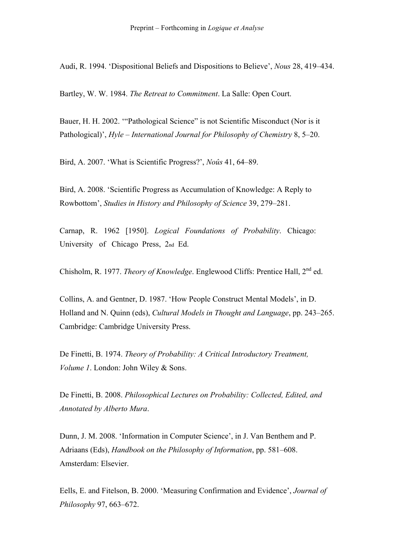Audi, R. 1994. 'Dispositional Beliefs and Dispositions to Believe', *Nous* 28, 419–434.

Bartley, W. W. 1984. *The Retreat to Commitment*. La Salle: Open Court.

Bauer, H. H. 2002. '"Pathological Science" is not Scientific Misconduct (Nor is it Pathological)', *Hyle – International Journal for Philosophy of Chemistry* 8, 5–20.

Bird, A. 2007. 'What is Scientific Progress?', *Noûs* 41, 64–89.

Bird, A. 2008. 'Scientific Progress as Accumulation of Knowledge: A Reply to Rowbottom', *Studies in History and Philosophy of Science* 39, 279–281.

Carnap, R. 1962 [1950]. *Logical Foundations of Probability*. Chicago: University of Chicago Press, 2nd Ed.

Chisholm, R. 1977. *Theory of Knowledge*. Englewood Cliffs: Prentice Hall, 2nd ed.

Collins, A. and Gentner, D. 1987. 'How People Construct Mental Models', in D. Holland and N. Quinn (eds), *Cultural Models in Thought and Language*, pp. 243–265. Cambridge: Cambridge University Press.

De Finetti, B. 1974. *Theory of Probability: A Critical Introductory Treatment, Volume 1*. London: John Wiley & Sons.

De Finetti, B. 2008. *Philosophical Lectures on Probability: Collected, Edited, and Annotated by Alberto Mura*.

Dunn, J. M. 2008. 'Information in Computer Science', in J. Van Benthem and P. Adriaans (Eds), *Handbook on the Philosophy of Information*, pp. 581–608. Amsterdam: Elsevier.

Eells, E. and Fitelson, B. 2000. 'Measuring Confirmation and Evidence', *Journal of Philosophy* 97, 663–672.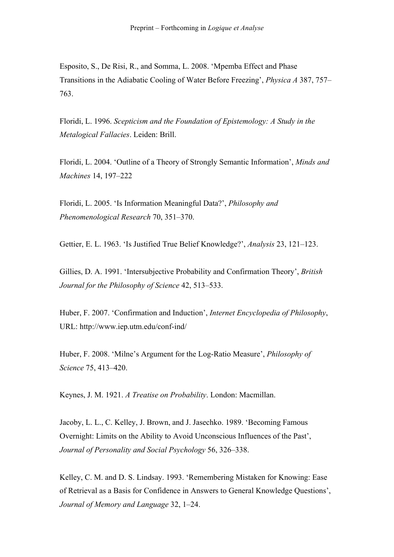Esposito, S., De Risi, R., and Somma, L. 2008. 'Mpemba Effect and Phase Transitions in the Adiabatic Cooling of Water Before Freezing', *Physica A* 387, 757– 763.

Floridi, L. 1996. *Scepticism and the Foundation of Epistemology: A Study in the Metalogical Fallacies*. Leiden: Brill.

Floridi, L. 2004. 'Outline of a Theory of Strongly Semantic Information', *Minds and Machines* 14, 197–222

Floridi, L. 2005. 'Is Information Meaningful Data?', *Philosophy and Phenomenological Research* 70, 351–370.

Gettier, E. L. 1963. 'Is Justified True Belief Knowledge?', *Analysis* 23, 121–123.

Gillies, D. A. 1991. 'Intersubjective Probability and Confirmation Theory', *British Journal for the Philosophy of Science* 42, 513–533.

Huber, F. 2007. 'Confirmation and Induction', *Internet Encyclopedia of Philosophy*, URL: http://www.iep.utm.edu/conf-ind/

Huber, F. 2008. 'Milne's Argument for the Log-Ratio Measure', *Philosophy of Science* 75, 413–420.

Keynes, J. M. 1921. *A Treatise on Probability*. London: Macmillan.

Jacoby, L. L., C. Kelley, J. Brown, and J. Jasechko. 1989. 'Becoming Famous Overnight: Limits on the Ability to Avoid Unconscious Influences of the Past', *Journal of Personality and Social Psychology* 56, 326–338.

Kelley, C. M. and D. S. Lindsay. 1993. 'Remembering Mistaken for Knowing: Ease of Retrieval as a Basis for Confidence in Answers to General Knowledge Questions', *Journal of Memory and Language* 32, 1–24.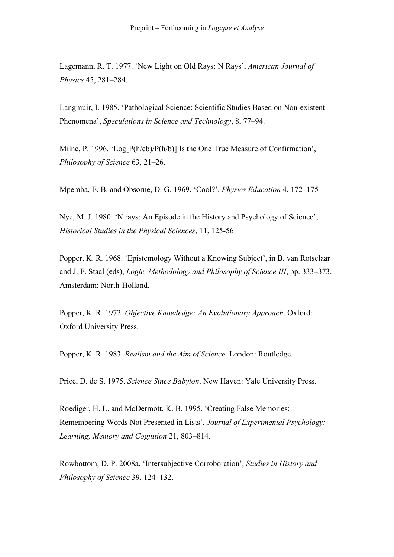Lagemann, R. T. 1977. 'New Light on Old Rays: N Rays', *American Journal of Physics* 45, 281–284.

Langmuir, I. 1985. 'Pathological Science: Scientific Studies Based on Non-existent Phenomena', *Speculations in Science and Technology*, 8, 77–94.

Milne, P. 1996. 'Log[P(h/eb)/P(h/b)] Is the One True Measure of Confirmation', *Philosophy of Science* 63, 21–26.

Mpemba, E. B. and Obsorne, D. G. 1969. 'Cool?', *Physics Education* 4, 172–175

Nye, M. J. 1980. 'N rays: An Episode in the History and Psychology of Science', *Historical Studies in the Physical Sciences*, 11, 125-56

Popper, K. R. 1968. 'Epistemology Without a Knowing Subject', in B. van Rotselaar and J. F. Staal (eds), *Logic, Methodology and Philosophy of Science III*, pp. 333–373. Amsterdam: North-Holland.

Popper, K. R. 1972. *Objective Knowledge: An Evolutionary Approach*. Oxford: Oxford University Press.

Popper, K. R. 1983. *Realism and the Aim of Science*. London: Routledge.

Price, D. de S. 1975. *Science Since Babylon*. New Haven: Yale University Press.

Roediger, H. L. and McDermott, K. B. 1995. 'Creating False Memories: Remembering Words Not Presented in Lists', *Journal of Experimental Psychology: Learning, Memory and Cognition* 21, 803–814.

Rowbottom, D. P. 2008a. 'Intersubjective Corroboration', *Studies in History and Philosophy of Science* 39, 124–132.